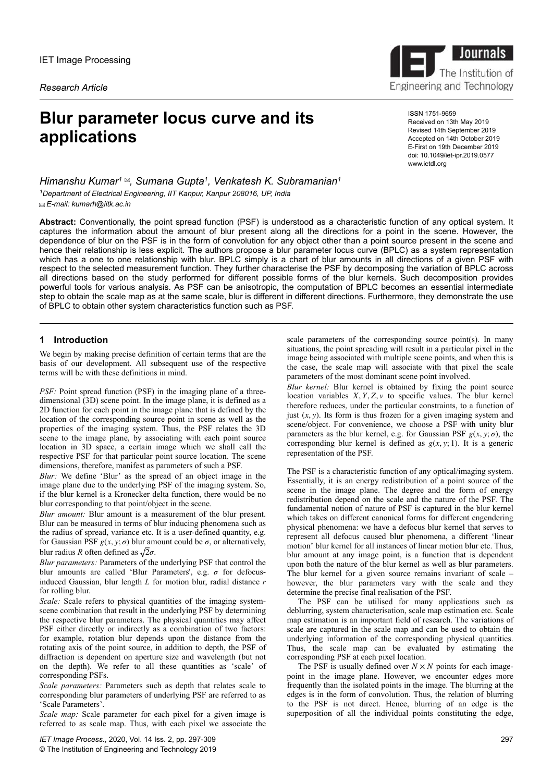*Research Article*

# **Blur parameter locus curve and its applications**

ISSN 1751-9659 Received on 13th May 2019 Revised 14th September 2019 Accepted on 14th October 2019 E-First on 19th December 2019 doi: 10.1049/iet-ipr.2019.0577 www.ietdl.org

*Himanshu Kumar<sup>1</sup> , Sumana Gupta<sup>1</sup> , Venkatesh K. Subramanian<sup>1</sup> <sup>1</sup>Department of Electrical Engineering, IIT Kanpur, Kanpur 208016, UP, India E-mail: kumarh@iitk.ac.in*

**Abstract:** Conventionally, the point spread function (PSF) is understood as a characteristic function of any optical system. It captures the information about the amount of blur present along all the directions for a point in the scene. However, the dependence of blur on the PSF is in the form of convolution for any object other than a point source present in the scene and hence their relationship is less explicit. The authors propose a blur parameter locus curve (BPLC) as a system representation which has a one to one relationship with blur. BPLC simply is a chart of blur amounts in all directions of a given PSF with respect to the selected measurement function. They further characterise the PSF by decomposing the variation of BPLC across all directions based on the study performed for different possible forms of the blur kernels. Such decomposition provides powerful tools for various analysis. As PSF can be anisotropic, the computation of BPLC becomes an essential intermediate step to obtain the scale map as at the same scale, blur is different in different directions. Furthermore, they demonstrate the use of BPLC to obtain other system characteristics function such as PSF.

# **1 Introduction**

We begin by making precise definition of certain terms that are the basis of our development. All subsequent use of the respective terms will be with these definitions in mind.

*PSF:* Point spread function (PSF) in the imaging plane of a threedimensional (3D) scene point. In the image plane, it is defined as a 2D function for each point in the image plane that is defined by the location of the corresponding source point in scene as well as the properties of the imaging system. Thus, the PSF relates the 3D scene to the image plane, by associating with each point source location in 3D space, a certain image which we shall call the respective PSF for that particular point source location. The scene dimensions, therefore, manifest as parameters of such a PSF.

*Blur:* We define 'Blur' as the spread of an object image in the image plane due to the underlying PSF of the imaging system. So, if the blur kernel is a Kronecker delta function, there would be no blur corresponding to that point/object in the scene.

*Blur amount:* Blur amount is a measurement of the blur present. Blur can be measured in terms of blur inducing phenomena such as the radius of spread, variance etc. It is a user-defined quantity, e.g. for Gaussian PSF  $g(x, y; \sigma)$  blur amount could be  $\sigma$ , or alternatively, blur radius *R* often defined as  $\sqrt{2}\sigma$ .

*Blur parameters:* Parameters of the underlying PSF that control the blur amounts are called 'Blur Parameters', e.g. *σ* for defocusinduced Gaussian, blur length *L* for motion blur, radial distance *r* for rolling blur.

*Scale:* Scale refers to physical quantities of the imaging systemscene combination that result in the underlying PSF by determining the respective blur parameters. The physical quantities may affect PSF either directly or indirectly as a combination of two factors: for example, rotation blur depends upon the distance from the rotating axis of the point source, in addition to depth, the PSF of diffraction is dependent on aperture size and wavelength (but not on the depth). We refer to all these quantities as 'scale' of corresponding PSFs.

*Scale parameters:* Parameters such as depth that relates scale to corresponding blur parameters of underlying PSF are referred to as 'Scale Parameters'.

*Scale map:* Scale parameter for each pixel for a given image is referred to as scale map. Thus, with each pixel we associate the scale parameters of the corresponding source point(s). In many situations, the point spreading will result in a particular pixel in the image being associated with multiple scene points, and when this is the case, the scale map will associate with that pixel the scale parameters of the most dominant scene point involved.

*Blur kernel:* Blur kernel is obtained by fixing the point source location variables  $X, Y, Z, v$  to specific values. The blur kernel therefore reduces, under the particular constraints, to a function of just  $(x, y)$ . Its form is thus frozen for a given imaging system and scene/object. For convenience, we choose a PSF with unity blur parameters as the blur kernel, e.g. for Gaussian PSF  $g(x, y; \sigma)$ , the corresponding blur kernel is defined as  $g(x, y; 1)$ . It is a generic representation of the PSF.

The PSF is a characteristic function of any optical/imaging system. Essentially, it is an energy redistribution of a point source of the scene in the image plane. The degree and the form of energy redistribution depend on the scale and the nature of the PSF. The fundamental notion of nature of PSF is captured in the blur kernel which takes on different canonical forms for different engendering physical phenomena: we have a defocus blur kernel that serves to represent all defocus caused blur phenomena, a different 'linear motion' blur kernel for all instances of linear motion blur etc. Thus, blur amount at any image point, is a function that is dependent upon both the nature of the blur kernel as well as blur parameters. The blur kernel for a given source remains invariant of scale – however, the blur parameters vary with the scale and they determine the precise final realisation of the PSF.

The PSF can be utilised for many applications such as deblurring, system characterisation, scale map estimation etc. Scale map estimation is an important field of research. The variations of scale are captured in the scale map and can be used to obtain the underlying information of the corresponding physical quantities. Thus, the scale map can be evaluated by estimating the corresponding PSF at each pixel location.

The PSF is usually defined over  $N \times N$  points for each imagepoint in the image plane. However, we encounter edges more frequently than the isolated points in the image. The blurring at the edges is in the form of convolution. Thus, the relation of blurring to the PSF is not direct. Hence, blurring of an edge is the superposition of all the individual points constituting the edge,

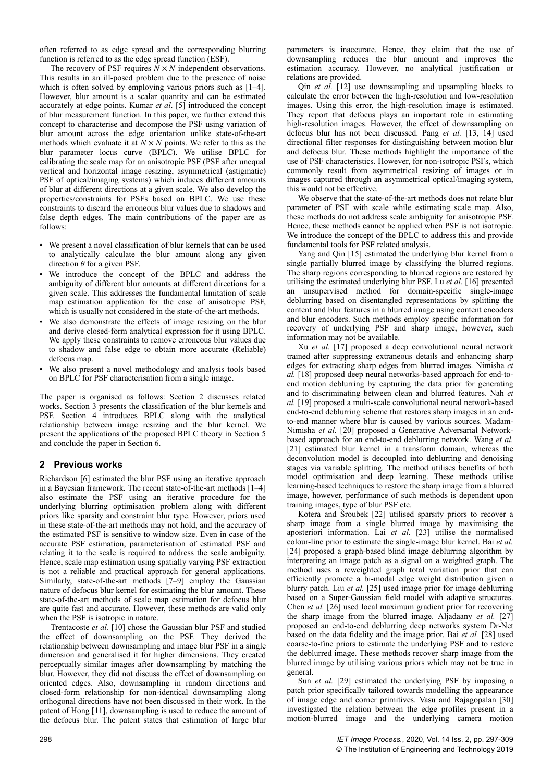often referred to as edge spread and the corresponding blurring function is referred to as the edge spread function (ESF).

The recovery of PSF requires  $\hat{N} \times N$  independent observations. This results in an ill-posed problem due to the presence of noise which is often solved by employing various priors such as  $[1-4]$ . However, blur amount is a scalar quantity and can be estimated accurately at edge points. Kumar *et al*. [5] introduced the concept of blur measurement function. In this paper, we further extend this concept to characterise and decompose the PSF using variation of blur amount across the edge orientation unlike state-of-the-art methods which evaluate it at  $N \times N$  points. We refer to this as the blur parameter locus curve (BPLC). We utilise BPLC for calibrating the scale map for an anisotropic PSF (PSF after unequal vertical and horizontal image resizing, asymmetrical (astigmatic) PSF of optical/imaging systems) which induces different amounts of blur at different directions at a given scale. We also develop the properties/constraints for PSFs based on BPLC. We use these constraints to discard the erroneous blur values due to shadows and false depth edges. The main contributions of the paper are as follows:

- We present a novel classification of blur kernels that can be used to analytically calculate the blur amount along any given direction *θ* for a given PSF.
- We introduce the concept of the BPLC and address the ambiguity of different blur amounts at different directions for a given scale. This addresses the fundamental limitation of scale map estimation application for the case of anisotropic PSF, which is usually not considered in the state-of-the-art methods.
- We also demonstrate the effects of image resizing on the blur and derive closed-form analytical expression for it using BPLC. We apply these constraints to remove erroneous blur values due to shadow and false edge to obtain more accurate (Reliable) defocus map.
- We also present a novel methodology and analysis tools based on BPLC for PSF characterisation from a single image.

The paper is organised as follows: Section 2 discusses related works. Section 3 presents the classification of the blur kernels and PSF. Section 4 introduces BPLC along with the analytical relationship between image resizing and the blur kernel. We present the applications of the proposed BPLC theory in Section 5 and conclude the paper in Section 6.

# **2 Previous works**

Richardson [6] estimated the blur PSF using an iterative approach in a Bayesian framework. The recent state-of-the-art methods [1–4] also estimate the PSF using an iterative procedure for the underlying blurring optimisation problem along with different priors like sparsity and constraint blur type. However, priors used in these state-of-the-art methods may not hold, and the accuracy of the estimated PSF is sensitive to window size. Even in case of the accurate PSF estimation, parameterisation of estimated PSF and relating it to the scale is required to address the scale ambiguity. Hence, scale map estimation using spatially varying PSF extraction is not a reliable and practical approach for general applications. Similarly, state-of-the-art methods [7–9] employ the Gaussian nature of defocus blur kernel for estimating the blur amount. These state-of-the-art methods of scale map estimation for defocus blur are quite fast and accurate. However, these methods are valid only when the PSF is isotropic in nature.

Trentacoste *et al.* [10] chose the Gaussian blur PSF and studied the effect of downsampling on the PSF. They derived the relationship between downsampling and image blur PSF in a single dimension and generalised it for higher dimensions. They created perceptually similar images after downsampling by matching the blur. However, they did not discuss the effect of downsampling on oriented edges. Also, downsampling in random directions and closed-form relationship for non-identical downsampling along orthogonal directions have not been discussed in their work. In the patent of Hong [11], downsampling is used to reduce the amount of the defocus blur. The patent states that estimation of large blur

parameters is inaccurate. Hence, they claim that the use of downsampling reduces the blur amount and improves the estimation accuracy. However, no analytical justification or relations are provided.

Qin *et al.* [12] use downsampling and upsampling blocks to calculate the error between the high-resolution and low-resolution images. Using this error, the high-resolution image is estimated. They report that defocus plays an important role in estimating high-resolution images. However, the effect of downsampling on defocus blur has not been discussed. Pang *et al.* [13, 14] used directional filter responses for distinguishing between motion blur and defocus blur. These methods highlight the importance of the use of PSF characteristics. However, for non-isotropic PSFs, which commonly result from asymmetrical resizing of images or in images captured through an asymmetrical optical/imaging system, this would not be effective.

We observe that the state-of-the-art methods does not relate blur parameter of PSF with scale while estimating scale map. Also, these methods do not address scale ambiguity for anisotropic PSF. Hence, these methods cannot be applied when PSF is not isotropic. We introduce the concept of the BPLC to address this and provide fundamental tools for PSF related analysis.

Yang and Qin [15] estimated the underlying blur kernel from a single partially blurred image by classifying the blurred regions. The sharp regions corresponding to blurred regions are restored by utilising the estimated underlying blur PSF. Lu *et al.* [16] presented an unsupervised method for domain-specific single-image deblurring based on disentangled representations by splitting the content and blur features in a blurred image using content encoders and blur encoders. Such methods employ specific information for recovery of underlying PSF and sharp image, however, such information may not be available.

Xu *et al.* [17] proposed a deep convolutional neural network trained after suppressing extraneous details and enhancing sharp edges for extracting sharp edges from blurred images. Nimisha *et al.* [18] proposed deep neural networks-based approach for end-toend motion deblurring by capturing the data prior for generating and to discriminating between clean and blurred features. Nah *et al.* [19] proposed a multi-scale convolutional neural network-based end-to-end deblurring scheme that restores sharp images in an endto-end manner where blur is caused by various sources. Madam-Nimisha *et al.* [20] proposed a Generative Adversarial Networkbased approach for an end-to-end deblurring network. Wang *et al.* [21] estimated blur kernel in a transform domain, whereas the deconvolution model is decoupled into deblurring and denoising stages via variable splitting. The method utilises benefits of both model optimisation and deep learning. These methods utilise learning-based techniques to restore the sharp image from a blurred image, however, performance of such methods is dependent upon training images, type of blur PSF etc.

Kotera and Šroubek [22] utilised sparsity priors to recover a sharp image from a single blurred image by maximising the aposteriori information. Lai *et al.* [23] utilise the normalised colour-line prior to estimate the single-image blur kernel. Bai *et al.* [24] proposed a graph-based blind image deblurring algorithm by interpreting an image patch as a signal on a weighted graph. The method uses a reweighted graph total variation prior that can efficiently promote a bi-modal edge weight distribution given a blurry patch. Liu *et al.* [25] used image prior for image deblurring based on a Super-Gaussian field model with adaptive structures. Chen *et al.* [26] used local maximum gradient prior for recovering the sharp image from the blurred image. Aljadaany *et al.* [27] proposed an end-to-end deblurring deep networks system Dr-Net based on the data fidelity and the image prior. Bai *et al.* [28] used coarse-to-fine priors to estimate the underlying PSF and to restore the deblurred image. These methods recover sharp image from the blurred image by utilising various priors which may not be true in general.

Sun *et al.* [29] estimated the underlying PSF by imposing a patch prior specifically tailored towards modelling the appearance of image edge and corner primitives. Vasu and Rajagopalan [30] investigated the relation between the edge profiles present in a motion-blurred image and the underlying camera motion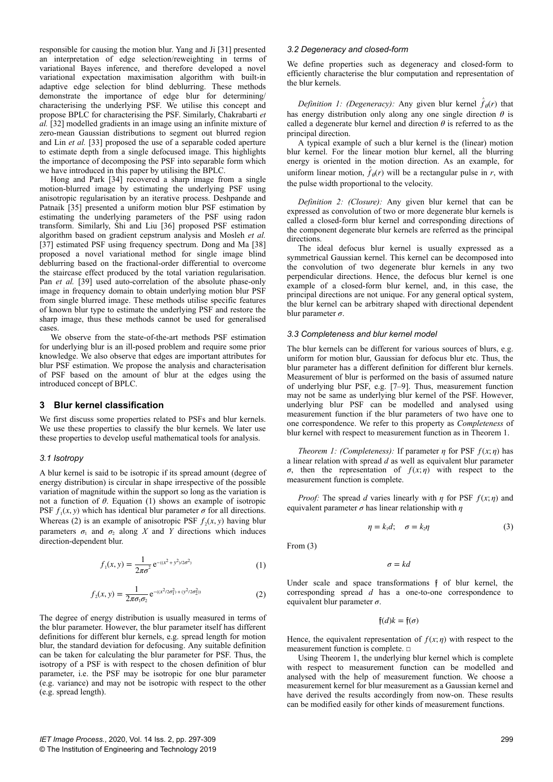responsible for causing the motion blur. Yang and Ji [31] presented an interpretation of edge selection/reweighting in terms of variational Bayes inference, and therefore developed a novel variational expectation maximisation algorithm with built-in adaptive edge selection for blind deblurring. These methods demonstrate the importance of edge blur for determining/ characterising the underlying PSF. We utilise this concept and propose BPLC for characterising the PSF. Similarly, Chakrabarti *et al.* [32] modelled gradients in an image using an infinite mixture of zero-mean Gaussian distributions to segment out blurred region and Lin *et al.* [33] proposed the use of a separable coded aperture to estimate depth from a single defocused image. This highlights the importance of decomposing the PSF into separable form which we have introduced in this paper by utilising the BPLC.

Hong and Park [34] recovered a sharp image from a single motion-blurred image by estimating the underlying PSF using anisotropic regularisation by an iterative process. Deshpande and Patnaik [35] presented a uniform motion blur PSF estimation by estimating the underlying parameters of the PSF using radon transform. Similarly, Shi and Liu [36] proposed PSF estimation algorithm based on gradient cepstrum analysis and Mosleh *et al.* [37] estimated PSF using frequency spectrum. Dong and Ma [38] proposed a novel variational method for single image blind deblurring based on the fractional-order differential to overcome the staircase effect produced by the total variation regularisation. Pan *et al.* [39] used auto-correlation of the absolute phase-only image in frequency domain to obtain underlying motion blur PSF from single blurred image. These methods utilise specific features of known blur type to estimate the underlying PSF and restore the sharp image, thus these methods cannot be used for generalised cases.

We observe from the state-of-the-art methods PSF estimation for underlying blur is an ill-posed problem and require some prior knowledge. We also observe that edges are important attributes for blur PSF estimation. We propose the analysis and characterisation of PSF based on the amount of blur at the edges using the introduced concept of BPLC.

# **3 Blur kernel classification**

We first discuss some properties related to PSFs and blur kernels. We use these properties to classify the blur kernels. We later use these properties to develop useful mathematical tools for analysis.

#### *3.1 Isotropy*

A blur kernel is said to be isotropic if its spread amount (degree of energy distribution) is circular in shape irrespective of the possible variation of magnitude within the support so long as the variation is not a function of *θ*. Equation (1) shows an example of isotropic PSF  $f_1(x, y)$  which has identical blur parameter  $\sigma$  for all directions. Whereas (2) is an example of anisotropic PSF  $f_2(x, y)$  having blur parameters  $\sigma_1$  and  $\sigma_2$  along *X* and *Y* directions which induces direction-dependent blur.

$$
f_1(x, y) = \frac{1}{2\pi\sigma^2} e^{-(x^2 + y^2)/2\sigma^2}
$$
 (1)

$$
f_2(x, y) = \frac{1}{2\pi\sigma_1\sigma_2} e^{-(x^2/2\sigma_1^2) + (y^2/2\sigma_2^2)}
$$
 (2)

The degree of energy distribution is usually measured in terms of the blur parameter. However, the blur parameter itself has different definitions for different blur kernels, e.g. spread length for motion blur, the standard deviation for defocusing. Any suitable definition can be taken for calculating the blur parameter for PSF. Thus, the isotropy of a PSF is with respect to the chosen definition of blur parameter, i.e. the PSF may be isotropic for one blur parameter (e.g. variance) and may not be isotropic with respect to the other (e.g. spread length).

#### *3.2 Degeneracy and closed-form*

We define properties such as degeneracy and closed-form to efficiently characterise the blur computation and representation of the blur kernels.

*Definition 1: (Degeneracy):* Any given blur kernel  $\hat{f}_{\theta}(r)$  that has energy distribution only along any one single direction *θ* is called a degenerate blur kernel and direction  $\theta$  is referred to as the principal direction.

A typical example of such a blur kernel is the (linear) motion blur kernel. For the linear motion blur kernel, all the blurring energy is oriented in the motion direction. As an example, for uniform linear motion,  $\hat{f}_{\theta}(r)$  will be a rectangular pulse in *r*, with the pulse width proportional to the velocity.

*Definition 2: (Closure):* Any given blur kernel that can be expressed as convolution of two or more degenerate blur kernels is called a closed-form blur kernel and corresponding directions of the component degenerate blur kernels are referred as the principal directions.

The ideal defocus blur kernel is usually expressed as a symmetrical Gaussian kernel. This kernel can be decomposed into the convolution of two degenerate blur kernels in any two perpendicular directions. Hence, the defocus blur kernel is one example of a closed-form blur kernel, and, in this case, the principal directions are not unique. For any general optical system, the blur kernel can be arbitrary shaped with directional dependent blur parameter *σ*.

#### *3.3 Completeness and blur kernel model*

The blur kernels can be different for various sources of blurs, e.g. uniform for motion blur, Gaussian for defocus blur etc. Thus, the blur parameter has a different definition for different blur kernels. Measurement of blur is performed on the basis of assumed nature of underlying blur PSF, e.g. [7–9]. Thus, measurement function may not be same as underlying blur kernel of the PSF. However, underlying blur PSF can be modelled and analysed using measurement function if the blur parameters of two have one to one correspondence. We refer to this property as *Completeness* of blur kernel with respect to measurement function as in Theorem 1.

*Theorem 1: (Completeness):* If parameter *η* for PSF  $f(x; η)$  has a linear relation with spread *d* as well as equivalent blur parameter  $\sigma$ , then the representation of  $f(x;\eta)$  with respect to the measurement function is complete.

*Proof:* The spread *d* varies linearly with *η* for PSF *f*(*x*; *η*) and equivalent parameter *σ* has linear relationship with *η*

$$
\eta = k_1 d; \quad \sigma = k_2 \eta \tag{3}
$$

From (3)

 $\sigma = kd$ 

Under scale and space transformations f of blur kernel, the corresponding spread *d* has a one-to-one correspondence to equivalent blur parameter *σ*.

 $\mathfrak{f}(d)k = \mathfrak{f}(\sigma)$ 

Hence, the equivalent representation of  $f(x; \eta)$  with respect to the measurement function is complete. □

Using Theorem 1, the underlying blur kernel which is complete with respect to measurement function can be modelled and analysed with the help of measurement function. We choose a measurement kernel for blur measurement as a Gaussian kernel and have derived the results accordingly from now-on. These results can be modified easily for other kinds of measurement functions.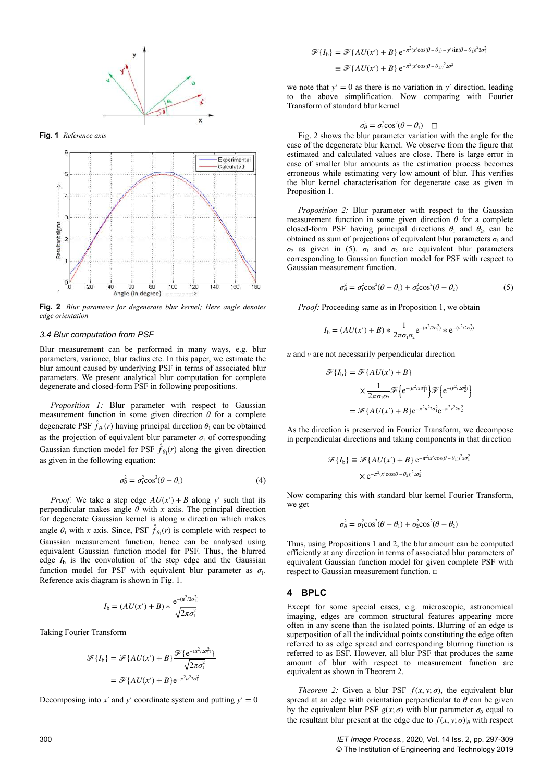

**Fig. 1** *Reference axis*



**Fig. 2** *Blur parameter for degenerate blur kernel; Here angle denotes edge orientation*

#### *3.4 Blur computation from PSF*

Blur measurement can be performed in many ways, e.g. blur parameters, variance, blur radius etc. In this paper, we estimate the blur amount caused by underlying PSF in terms of associated blur parameters. We present analytical blur computation for complete degenerate and closed-form PSF in following propositions.

*Proposition 1:* Blur parameter with respect to Gaussian measurement function in some given direction  $\theta$  for a complete degenerate PSF  $\hat{f}_{\theta_1}(r)$  having principal direction  $\theta_1$  can be obtained as the projection of equivalent blur parameter  $\sigma_1$  of corresponding Gaussian function model for PSF  $\hat{f}_{\theta_1}(r)$  along the given direction as given in the following equation:

$$
\sigma_{\theta}^2 = \sigma_1^2 \cos^2(\theta - \theta_1) \tag{4}
$$

*Proof:* We take a step edge  $AU(x') + B$  along y' such that its perpendicular makes angle  $\theta$  with *x* axis. The principal direction for degenerate Gaussian kernel is along *u* direction which makes angle  $\theta_1$  with *x* axis. Since, PSF  $\hat{f}_{\theta_1}(r)$  is complete with respect to Gaussian measurement function, hence can be analysed using equivalent Gaussian function model for PSF. Thus, the blurred edge  $I<sub>b</sub>$  is the convolution of the step edge and the Gaussian function model for PSF with equivalent blur parameter as  $\sigma_1$ . Reference axis diagram is shown in Fig. 1.

$$
I_{\rm b} = (AU(x') + B) * \frac{e^{-(u^2/2\sigma_1^2)}}{\sqrt{2\pi\sigma_1^2}}
$$

Taking Fourier Transform

$$
\mathcal{F}{I_b} = \mathcal{F}{AU(x') + B} \frac{\mathcal{F}{e^{-(u^2/2\sigma_1^2)}}}{\sqrt{2\pi\sigma_1^2}}
$$

$$
= \mathcal{F}{AU(x') + B} e^{-\pi^2 u^2 2\sigma_1^2}
$$

Decomposing into  $x'$  and  $y'$  coordinate system and putting  $y' = 0$ 

$$
\mathcal{F}{I_b} = \mathcal{F}{AU(x') + B} e^{-\pi^2(x'\cos(\theta - \theta_1) - y'\sin(\theta - \theta_1))^2 2\sigma_1^2}
$$
  

$$
\equiv \mathcal{F}{AU(x') + B} e^{-\pi^2(x'\cos(\theta - \theta_1))^2 2\sigma_1^2}
$$

we note that  $y' = 0$  as there is no variation in  $y'$  direction, leading to the above simplification. Now comparing with Fourier Transform of standard blur kernel

$$
\sigma_{\theta}^2 = \sigma_1^2 \cos^2(\theta - \theta_1) \quad \Box
$$

Fig. 2 shows the blur parameter variation with the angle for the case of the degenerate blur kernel. We observe from the figure that estimated and calculated values are close. There is large error in case of smaller blur amounts as the estimation process becomes erroneous while estimating very low amount of blur. This verifies the blur kernel characterisation for degenerate case as given in Proposition 1.

*Proposition 2:* Blur parameter with respect to the Gaussian measurement function in some given direction  $\theta$  for a complete closed-form PSF having principal directions  $\theta_1$  and  $\theta_2$ , can be obtained as sum of projections of equivalent blur parameters  $\sigma_1$  and  $\sigma_2$  as given in (5).  $\sigma_1$  and  $\sigma_2$  are equivalent blur parameters corresponding to Gaussian function model for PSF with respect to Gaussian measurement function.

$$
\sigma_{\theta}^2 = \sigma_1^2 \cos^2(\theta - \theta_1) + \sigma_2^2 \cos^2(\theta - \theta_2)
$$
 (5)

*Proof:* Proceeding same as in Proposition 1, we obtain

$$
I_{\rm b} = (AU(x') + B) * \frac{1}{2\pi\sigma_1\sigma_2} e^{-(u^2/2\sigma_1^2)} * e^{-(v^2/2\sigma_2^2)}
$$

*u* and *v* are not necessarily perpendicular direction

$$
\mathcal{F}{I_b} = \mathcal{F}{AU(x') + B}
$$

$$
\times \frac{1}{2\pi\sigma_1\sigma_2} \mathcal{F}\left\{e^{-(u^2/2\sigma_1^2)}\right\} \mathcal{F}\left\{e^{-(v^2/2\sigma_2^2)}\right\}
$$

$$
= \mathcal{F}\left\{AU(x') + B\right\}e^{-\pi^2u^22\sigma_1^2}e^{-\pi^2v^22\sigma_2^2}
$$

As the direction is preserved in Fourier Transform, we decompose in perpendicular directions and taking components in that direction

$$
\mathcal{F}{I_b} \equiv \mathcal{F}{A U(x') + B} e^{-\pi^2 (x' \cos(\theta - \theta_1))^2 2\sigma_1^2}
$$

$$
\times e^{-\pi^2 (x' \cos(\theta - \theta_2))^2 2\sigma_2^2}
$$

Now comparing this with standard blur kernel Fourier Transform, we get

$$
\sigma_{\theta}^2 = \sigma_1^2 \cos^2(\theta - \theta_1) + \sigma_2^2 \cos^2(\theta - \theta_2)
$$

Thus, using Propositions 1 and 2, the blur amount can be computed efficiently at any direction in terms of associated blur parameters of equivalent Gaussian function model for given complete PSF with respect to Gaussian measurement function. □

#### **4 BPLC**

Except for some special cases, e.g. microscopic, astronomical imaging, edges are common structural features appearing more often in any scene than the isolated points. Blurring of an edge is superposition of all the individual points constituting the edge often referred to as edge spread and corresponding blurring function is referred to as ESF. However, all blur PSF that produces the same amount of blur with respect to measurement function are equivalent as shown in Theorem 2.

*Theorem 2:* Given a blur PSF  $f(x, y; \sigma)$ , the equivalent blur spread at an edge with orientation perpendicular to  $\theta$  can be given by the equivalent blur PSF  $g(x; \sigma)$  with blur parameter  $\sigma_{\theta}$  equal to the resultant blur present at the edge due to  $f(x, y; \sigma)$  with respect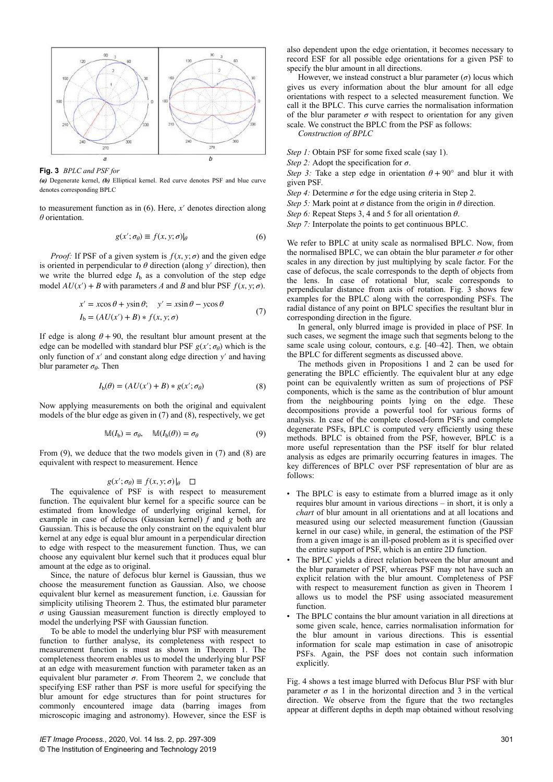

**Fig. 3** *BPLC and PSF for*

*(a)* Degenerate kernel, *(b)* Elliptical kernel. Red curve denotes PSF and blue curve denotes corresponding BPLC

to measurement function as in (6). Here, *x*′ denotes direction along *θ* orientation.

$$
g(x'; \sigma_{\theta}) \equiv f(x, y; \sigma)_{\theta} \tag{6}
$$

*Proof:* If PSF of a given system is  $f(x, y; \sigma)$  and the given edge is oriented in perpendicular to  $\theta$  direction (along  $y'$  direction), then we write the blurred edge  $I<sub>b</sub>$  as a convolution of the step edge model  $AU(x') + B$  with parameters *A* and *B* and blur PSF  $f(x, y; \sigma)$ .

$$
x' = x\cos\theta + y\sin\theta; \quad y' = x\sin\theta - y\cos\theta
$$
  
\n
$$
I_b = (AU(x') + B) * f(x, y; \sigma)
$$
 (7)

If edge is along  $\theta$  + 90, the resultant blur amount present at the edge can be modelled with standard blur PSF  $g(x'; \sigma_{\theta})$  which is the only function of *x*′ and constant along edge direction *y*′ and having blur parameter *σ<sup>θ</sup>* . Then

$$
I_{b}(\theta) = (AU(x') + B) * g(x'; \sigma_{\theta})
$$
\n(8)

Now applying measurements on both the original and equivalent models of the blur edge as given in (7) and (8), respectively, we get

$$
\mathbb{M}(I_{\mathbf{b}}) = \sigma_{\theta}, \quad \mathbb{M}(I_{\mathbf{b}}(\theta)) = \sigma_{\theta} \tag{9}
$$

From (9), we deduce that the two models given in (7) and (8) are equivalent with respect to measurement. Hence

$$
g(x'; \sigma_{\theta}) \equiv f(x, y; \sigma) \big|_{\theta} \quad \Box
$$

The equivalence of PSF is with respect to measurement function. The equivalent blur kernel for a specific source can be estimated from knowledge of underlying original kernel, for example in case of defocus (Gaussian kernel)  $\tilde{f}$  and  $g$  both are Gaussian. This is because the only constraint on the equivalent blur kernel at any edge is equal blur amount in a perpendicular direction to edge with respect to the measurement function. Thus, we can choose any equivalent blur kernel such that it produces equal blur amount at the edge as to original.

Since, the nature of defocus blur kernel is Gaussian, thus we choose the measurement function as Gaussian. Also, we choose equivalent blur kernel as measurement function, i.e. Gaussian for simplicity utilising Theorem 2. Thus, the estimated blur parameter *σ* using Gaussian measurement function is directly employed to model the underlying PSF with Gaussian function.

To be able to model the underlying blur PSF with measurement function to further analyse, its completeness with respect to measurement function is must as shown in Theorem 1. The completeness theorem enables us to model the underlying blur PSF at an edge with measurement function with parameter taken as an equivalent blur parameter  $\sigma$ . From Theorem 2, we conclude that specifying ESF rather than PSF is more useful for specifying the blur amount for edge structures than for point structures for commonly encountered image data (barring images from microscopic imaging and astronomy). However, since the ESF is also dependent upon the edge orientation, it becomes necessary to record ESF for all possible edge orientations for a given PSF to specify the blur amount in all directions.

However, we instead construct a blur parameter  $(\sigma)$  locus which gives us every information about the blur amount for all edge orientations with respect to a selected measurement function. We call it the BPLC. This curve carries the normalisation information of the blur parameter  $\sigma$  with respect to orientation for any given scale. We construct the BPLC from the PSF as follows:

*Construction of BPLC*

*Step 1:* Obtain PSF for some fixed scale (say 1).

*Step 2:* Adopt the specification for *σ*.

*Step 3:* Take a step edge in orientation  $\theta + 90^{\circ}$  and blur it with given PSF.

*Step 4:* Determine  $\sigma$  for the edge using criteria in Step 2.

*Step 5:* Mark point at  $\sigma$  distance from the origin in  $\theta$  direction.

*Step 6:* Repeat Steps 3, 4 and 5 for all orientation *θ*.

*Step 7:* Interpolate the points to get continuous BPLC.

We refer to BPLC at unity scale as normalised BPLC. Now, from the normalised BPLC, we can obtain the blur parameter  $\sigma$  for other scales in any direction by just multiplying by scale factor. For the case of defocus, the scale corresponds to the depth of objects from the lens. In case of rotational blur, scale corresponds to perpendicular distance from axis of rotation. Fig. 3 shows few examples for the BPLC along with the corresponding PSFs. The radial distance of any point on BPLC specifies the resultant blur in corresponding direction in the figure.

In general, only blurred image is provided in place of PSF. In such cases, we segment the image such that segments belong to the same scale using colour, contours, e.g. [40–42]. Then, we obtain the BPLC for different segments as discussed above.

The methods given in Propositions 1 and 2 can be used for generating the BPLC efficiently. The equivalent blur at any edge point can be equivalently written as sum of projections of PSF components, which is the same as the contribution of blur amount from the neighbouring points lying on the edge. These decompositions provide a powerful tool for various forms of analysis. In case of the complete closed-form PSFs and complete degenerate PSFs, BPLC is computed very efficiently using these methods. BPLC is obtained from the PSF, however, BPLC is a more useful representation than the PSF itself for blur related analysis as edges are primarily occurring features in images. The key differences of BPLC over PSF representation of blur are as follows:

- The BPLC is easy to estimate from a blurred image as it only requires blur amount in various directions – in short, it is only a *chart* of blur amount in all orientations and at all locations and measured using our selected measurement function (Gaussian kernel in our case) while, in general, the estimation of the PSF from a given image is an ill-posed problem as it is specified over the entire support of PSF, which is an entire 2D function.
- The BPLC yields a direct relation between the blur amount and the blur parameter of PSF, whereas PSF may not have such an explicit relation with the blur amount. Completeness of PSF with respect to measurement function as given in Theorem 1 allows us to model the PSF using associated measurement function.
- The BPLC contains the blur amount variation in all directions at some given scale, hence, carries normalisation information for the blur amount in various directions. This is essential information for scale map estimation in case of anisotropic PSFs. Again, the PSF does not contain such information explicitly.

Fig. 4 shows a test image blurred with Defocus Blur PSF with blur parameter  $\sigma$  as 1 in the horizontal direction and 3 in the vertical direction. We observe from the figure that the two rectangles appear at different depths in depth map obtained without resolving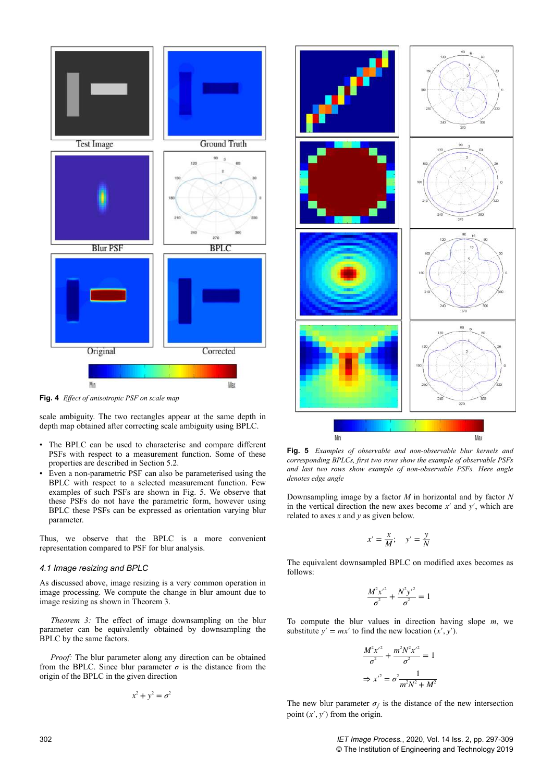

**Fig. 4** *Effect of anisotropic PSF on scale map*

scale ambiguity. The two rectangles appear at the same depth in depth map obtained after correcting scale ambiguity using BPLC.

- The BPLC can be used to characterise and compare different PSFs with respect to a measurement function. Some of these properties are described in Section 5.2.
- Even a non-parametric PSF can also be parameterised using the BPLC with respect to a selected measurement function. Few examples of such PSFs are shown in Fig. 5. We observe that these PSFs do not have the parametric form, however using BPLC these PSFs can be expressed as orientation varying blur parameter.

Thus, we observe that the BPLC is a more convenient representation compared to PSF for blur analysis.

#### *4.1 Image resizing and BPLC*

As discussed above, image resizing is a very common operation in image processing. We compute the change in blur amount due to image resizing as shown in Theorem 3.

*Theorem 3:* The effect of image downsampling on the blur parameter can be equivalently obtained by downsampling the BPLC by the same factors.

*Proof:* The blur parameter along any direction can be obtained from the BPLC. Since blur parameter  $\sigma$  is the distance from the origin of the BPLC in the given direction

$$
x^2 + y^2 = \sigma^2
$$



**Fig. 5** *Examples of observable and non-observable blur kernels and corresponding BPLCs, first two rows show the example of observable PSFs and last two rows show example of non-observable PSFs. Here angle denotes edge angle*

Downsampling image by a factor *M* in horizontal and by factor *N* in the vertical direction the new axes become *x*′ and *y*′, which are related to axes *x* and *y* as given below.

$$
x' = \frac{x}{M}; \quad y' = \frac{y}{N}
$$

The equivalent downsampled BPLC on modified axes becomes as follows:

$$
\frac{M^2x^2}{\sigma^2} + \frac{N^2y^2}{\sigma^2} = 1
$$

To compute the blur values in direction having slope *m*, we substitute  $y' = mx'$  to find the new location  $(x', y')$ .

$$
\frac{M^2 x'^2}{\sigma^2} + \frac{m^2 N^2 x'^2}{\sigma^2} = 1
$$

$$
\Rightarrow x'^2 = \sigma^2 \frac{1}{m^2 N^2 + M^2}
$$

The new blur parameter  $\sigma_f$  is the distance of the new intersection point  $(x', y')$  from the origin.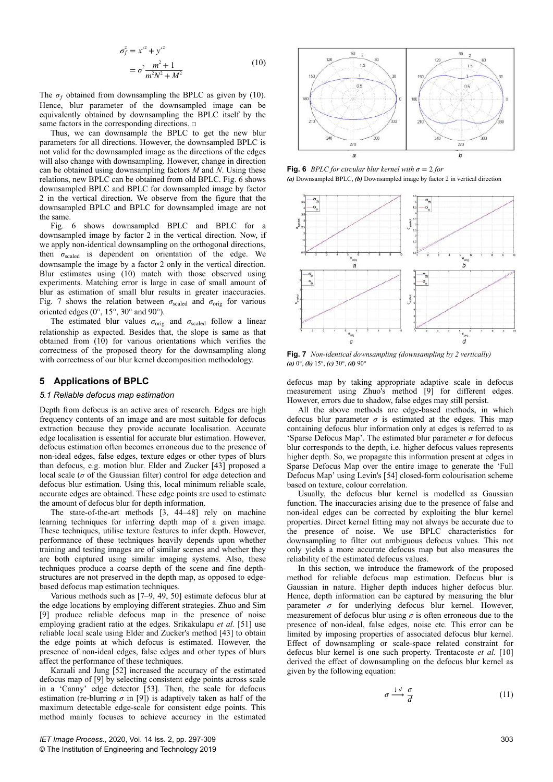$$
\sigma_f^2 = x^2 + y^2
$$
  
= 
$$
\sigma^2 \frac{m^2 + 1}{m^2 N^2 + M^2}
$$
 (10)

The  $\sigma_f$  obtained from downsampling the BPLC as given by (10). Hence, blur parameter of the downsampled image can be equivalently obtained by downsampling the BPLC itself by the same factors in the corresponding directions.  $\square$ 

Thus, we can downsample the BPLC to get the new blur parameters for all directions. However, the downsampled BPLC is not valid for the downsampled image as the directions of the edges will also change with downsampling. However, change in direction can be obtained using downsampling factors *M* and *N*. Using these relations, new BPLC can be obtained from old BPLC. Fig. 6 shows downsampled BPLC and BPLC for downsampled image by factor 2 in the vertical direction. We observe from the figure that the downsampled BPLC and BPLC for downsampled image are not the same.

Fig. 6 shows downsampled BPLC and BPLC for a downsampled image by factor 2 in the vertical direction. Now, if we apply non-identical downsampling on the orthogonal directions, then *σ*scaled is dependent on orientation of the edge. We downsample the image by a factor 2 only in the vertical direction. Blur estimates using (10) match with those observed using experiments. Matching error is large in case of small amount of blur as estimation of small blur results in greater inaccuracies. Fig. 7 shows the relation between  $\sigma_{\text{scaled}}$  and  $\sigma_{\text{orig}}$  for various oriented edges (0°, 15°, 30° and 90°).

The estimated blur values  $\sigma_{\text{orig}}$  and  $\sigma_{\text{scaled}}$  follow a linear relationship as expected. Besides that, the slope is same as that obtained from (10) for various orientations which verifies the correctness of the proposed theory for the downsampling along with correctness of our blur kernel decomposition methodology.

## **5 Applications of BPLC**

#### *5.1 Reliable defocus map estimation*

Depth from defocus is an active area of research. Edges are high frequency contents of an image and are most suitable for defocus extraction because they provide accurate localisation. Accurate edge localisation is essential for accurate blur estimation. However, defocus estimation often becomes erroneous due to the presence of non-ideal edges, false edges, texture edges or other types of blurs than defocus, e.g. motion blur. Elder and Zucker [43] proposed a local scale ( $\sigma$  of the Gaussian filter) control for edge detection and defocus blur estimation. Using this, local minimum reliable scale, accurate edges are obtained. These edge points are used to estimate the amount of defocus blur for depth information.

The state-of-the-art methods [3, 44–48] rely on machine learning techniques for inferring depth map of a given image. These techniques, utilise texture features to infer depth. However, performance of these techniques heavily depends upon whether training and testing images are of similar scenes and whether they are both captured using similar imaging systems. Also, these techniques produce a coarse depth of the scene and fine depthstructures are not preserved in the depth map, as opposed to edgebased defocus map estimation techniques.

Various methods such as [7–9, 49, 50] estimate defocus blur at the edge locations by employing different strategies. Zhuo and Sim [9] produce reliable defocus map in the presence of noise employing gradient ratio at the edges. Srikakulapu *et al.* [51] use reliable local scale using Elder and Zucker's method [43] to obtain the edge points at which defocus is estimated. However, the presence of non-ideal edges, false edges and other types of blurs affect the performance of these techniques.

Karaali and Jung [52] increased the accuracy of the estimated defocus map of [9] by selecting consistent edge points across scale in a 'Canny' edge detector [53]. Then, the scale for defocus estimation (re-blurring  $\sigma$  in [9]) is adaptively taken as half of the maximum detectable edge-scale for consistent edge points. This method mainly focuses to achieve accuracy in the estimated



**Fig. 6** *BPLC for circular blur kernel with*  $\sigma = 2$  *for (a)* Downsampled BPLC, *(b)* Downsampled image by factor 2 in vertical direction



**Fig. 7** *Non-identical downsampling (downsampling by 2 vertically) (a)* 0°, *(b)* 15°, *(c)* 30°, *(d)* 90°

defocus map by taking appropriate adaptive scale in defocus measurement using Zhuo's method [9] for different edges. However, errors due to shadow, false edges may still persist.

All the above methods are edge-based methods, in which defocus blur parameter  $\sigma$  is estimated at the edges. This map containing defocus blur information only at edges is referred to as 'Sparse Defocus Map'. The estimated blur parameter *σ* for defocus blur corresponds to the depth, i.e. higher defocus values represents higher depth. So, we propagate this information present at edges in Sparse Defocus Map over the entire image to generate the 'Full Defocus Map' using Levin's [54] closed-form colourisation scheme based on texture, colour correlation.

Usually, the defocus blur kernel is modelled as Gaussian function. The inaccuracies arising due to the presence of false and non-ideal edges can be corrected by exploiting the blur kernel properties. Direct kernel fitting may not always be accurate due to the presence of noise. We use BPLC characteristics for downsampling to filter out ambiguous defocus values. This not only yields a more accurate defocus map but also measures the reliability of the estimated defocus values.

In this section, we introduce the framework of the proposed method for reliable defocus map estimation. Defocus blur is Gaussian in nature. Higher depth induces higher defocus blur. Hence, depth information can be captured by measuring the blur parameter *σ* for underlying defocus blur kernel. However, measurement of defocus blur using  $\sigma$  is often erroneous due to the presence of non-ideal, false edges, noise etc. This error can be limited by imposing properties of associated defocus blur kernel. Effect of downsampling or scale-space related constraint for defocus blur kernel is one such property. Trentacoste *et al.* [10] derived the effect of downsampling on the defocus blur kernel as given by the following equation:

$$
\sigma \xrightarrow{\downarrow d} \frac{\sigma}{d} \tag{11}
$$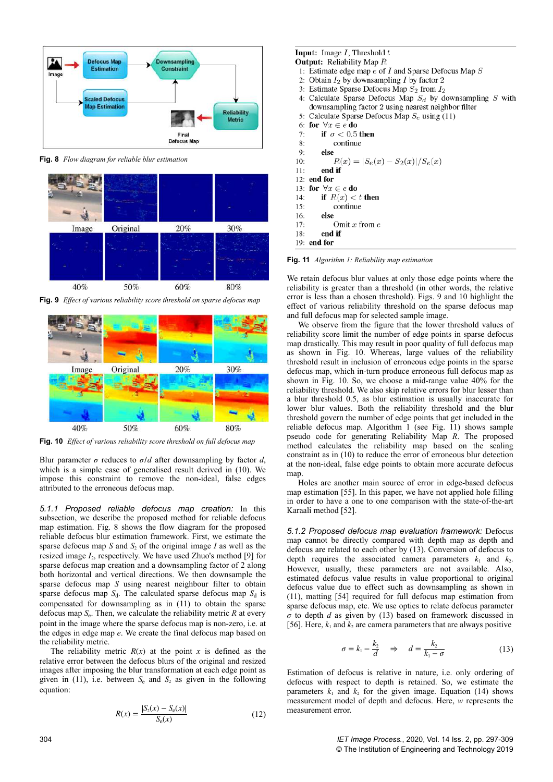

**Fig. 8** *Flow diagram for reliable blur estimation*



**Fig. 9** *Effect of various reliability score threshold on sparse defocus map*



**Fig. 10** *Effect of various reliability score threshold on full defocus map*

Blur parameter  $\sigma$  reduces to  $\sigma/d$  after downsampling by factor *d*, which is a simple case of generalised result derived in (10). We impose this constraint to remove the non-ideal, false edges attributed to the erroneous defocus map.

*5.1.1 Proposed reliable defocus map creation:* In this subsection, we describe the proposed method for reliable defocus map estimation. Fig. 8 shows the flow diagram for the proposed reliable defocus blur estimation framework. First, we estimate the sparse defocus map  $S$  and  $S_2$  of the original image  $I$  as well as the resized image  $I_2$ , respectively. We have used Zhuo's method [9] for sparse defocus map creation and a downsampling factor of 2 along both horizontal and vertical directions. We then downsample the sparse defocus map *S* using nearest neighbour filter to obtain sparse defocus map  $S_d$ . The calculated sparse defocus map  $S_d$  is compensated for downsampling as in (11) to obtain the sparse defocus map *S*<sup>e</sup> . Then, we calculate the reliability metric *R* at every point in the image where the sparse defocus map is non-zero, i.e. at the edges in edge map *e*. We create the final defocus map based on the reliability metric.

The reliability metric  $R(x)$  at the point *x* is defined as the relative error between the defocus blurs of the original and resized images after imposing the blur transformation at each edge point as given in (11), i.e. between  $S_e$  and  $S_2$  as given in the following equation:

$$
R(x) = \frac{|S_2(x) - S_e(x)|}{S_e(x)}
$$
(12)

## **Input:** Image  $I$ , Threshold  $t$

- **Output:** Reliability Map R
- 1: Estimate edge map  $\vec{e}$  of *I* and Sparse Defocus Map *S*
- 2: Obtain  $I_2$  by downsampling I by factor 2
- 3: Estimate Sparse Defocus Map  $S_2$  from  $I_2$
- 4: Calculate Sparse Defocus Map  $S_d$  by downsampling S with downsampling factor 2 using nearest neighbor filter
- Calculate Sparse Defocus Map  $S_e$  using (11)  $\overline{\mathbf{S}}$
- for  $\forall x \in e$  do 6:
- if  $\sigma < 0.5$  then  $7.$
- 8: continue  $9:$ 
	- else

 $R(x) = |S_e(x) - S_2(x)|/S_e(x)$  $10:$  $11:$ end if

- 12: end for
- 13: for  $\forall x \in e$  do
- if  $R(x) < t$  then  $14:$
- $15:$ continue
- $16:$ else
- Omit  $x$  from  $e$  $17:$
- end if  $18<sup>1</sup>$
- 19: end for

**Fig. 11** *Algorithm 1: Reliability map estimation*

We retain defocus blur values at only those edge points where the reliability is greater than a threshold (in other words, the relative error is less than a chosen threshold). Figs. 9 and 10 highlight the effect of various reliability threshold on the sparse defocus map and full defocus map for selected sample image.

We observe from the figure that the lower threshold values of reliability score limit the number of edge points in sparse defocus map drastically. This may result in poor quality of full defocus map as shown in Fig. 10. Whereas, large values of the reliability threshold result in inclusion of erroneous edge points in the sparse defocus map, which in-turn produce erroneous full defocus map as shown in Fig. 10. So, we choose a mid-range value 40% for the reliability threshold. We also skip relative errors for blur lesser than a blur threshold 0.5, as blur estimation is usually inaccurate for lower blur values. Both the reliability threshold and the blur threshold govern the number of edge points that get included in the reliable defocus map. Algorithm 1 (see Fig. 11) shows sample pseudo code for generating Reliability Map *R*. The proposed method calculates the reliability map based on the scaling constraint as in (10) to reduce the error of erroneous blur detection at the non-ideal, false edge points to obtain more accurate defocus map.

Holes are another main source of error in edge-based defocus map estimation [55]. In this paper, we have not applied hole filling in order to have a one to one comparison with the state-of-the-art Karaali method [52].

*5.1.2 Proposed defocus map evaluation framework:* Defocus map cannot be directly compared with depth map as depth and defocus are related to each other by (13). Conversion of defocus to depth requires the associated camera parameters  $k_1$  and  $k_2$ . However, usually, these parameters are not available. Also, estimated defocus value results in value proportional to original defocus value due to effect such as downsampling as shown in (11), matting [54] required for full defocus map estimation from sparse defocus map, etc. We use optics to relate defocus parameter  $\sigma$  to depth *d* as given by (13) based on framework discussed in [56]. Here,  $k_1$  and  $k_2$  are camera parameters that are always positive

$$
\sigma = k_1 - \frac{k_2}{d} \quad \Rightarrow \quad d = \frac{k_2}{k_1 - \sigma} \tag{13}
$$

Estimation of defocus is relative in nature, i.e. only ordering of defocus with respect to depth is retained. So, we estimate the parameters  $k_1$  and  $k_2$  for the given image. Equation (14) shows measurement model of depth and defocus. Here, *w* represents the measurement error.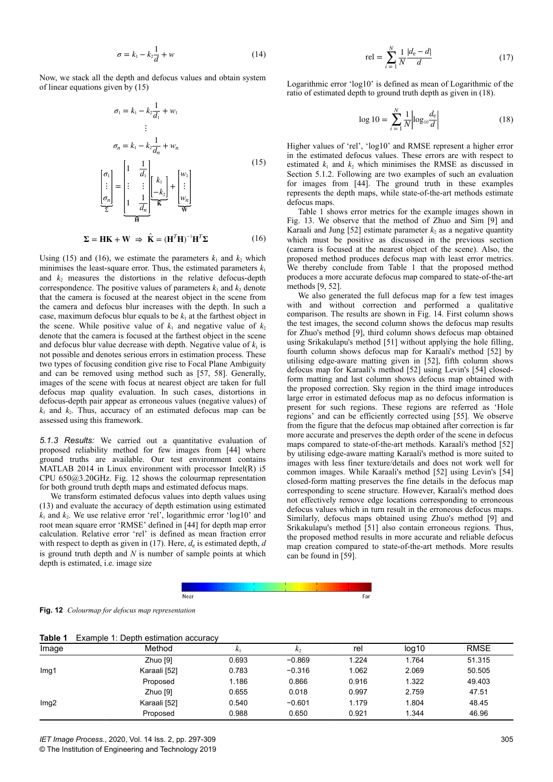$$
\sigma = k_1 - k_2 \frac{1}{d} + w \tag{14}
$$

Now, we stack all the depth and defocus values and obtain system of linear equations given by (15)

$$
\sigma_1 = k_1 - k_2 \frac{1}{d_1} + w_1
$$
  
\n
$$
\vdots
$$
  
\n
$$
\sigma_n = k_1 - k_2 \frac{1}{d_n} + w_n
$$
  
\n
$$
\begin{bmatrix} \sigma_1 \\ \vdots \\ \sigma_n \end{bmatrix} = \begin{bmatrix} 1 & \frac{1}{d_1} \\ \vdots & \vdots \\ 1 & \frac{1}{d_n} \end{bmatrix} \begin{bmatrix} k_1 \\ k_2 \\ \vdots \\ k_n \end{bmatrix} + \begin{bmatrix} w_1 \\ \vdots \\ w_n \end{bmatrix}
$$
  
\n
$$
\sum_{\mathbf{H}} \mathbf{W}
$$
  
\n(15)

$$
\Sigma = \mathbf{HK} + \mathbf{W} \implies \hat{\mathbf{K}} = (\mathbf{H}^T \mathbf{H})^{-1} \mathbf{H}^T \Sigma
$$
 (16)

Using (15) and (16), we estimate the parameters  $k_1$  and  $k_2$  which minimises the least-square error. Thus, the estimated parameters  $k_1$ and  $k_2$  measures the distortions in the relative defocus-depth correspondence. The positive values of parameters  $k_1$  and  $k_2$  denote that the camera is focused at the nearest object in the scene from the camera and defocus blur increases with the depth. In such a case, maximum defocus blur equals to be  $k_1$  at the farthest object in the scene. While positive value of  $k_1$  and negative value of  $k_2$ denote that the camera is focused at the farthest object in the scene and defocus blur value decrease with depth. Negative value of  $k_1$  is not possible and denotes serious errors in estimation process. These two types of focusing condition give rise to Focal Plane Ambiguity and can be removed using method such as [57, 58]. Generally, images of the scene with focus at nearest object are taken for full defocus map quality evaluation. In such cases, distortions in defocus-depth pair appear as erroneous values (negative values) of  $k_1$  and  $k_2$ . Thus, accuracy of an estimated defocus map can be assessed using this framework.

*5.1.3 Results:* We carried out a quantitative evaluation of proposed reliability method for few images from [44] where ground truths are available. Our test environment contains MATLAB 2014 in Linux environment with processor Intel(R) i5 CPU 650@3.20GHz. Fig. 12 shows the colourmap representation for both ground truth depth maps and estimated defocus maps.

We transform estimated defocus values into depth values using (13) and evaluate the accuracy of depth estimation using estimated  $k_1$  and  $k_2$ . We use relative error 'rel', logarithmic error 'log10' and root mean square error 'RMSE' defined in [44] for depth map error calculation. Relative error 'rel' is defined as mean fraction error with respect to depth as given in (17). Here,  $d_e$  is estimated depth, *d* is ground truth depth and *N* is number of sample points at which depth is estimated, i.e. image size

$$
rel = \sum_{i=1}^{N} \frac{1}{N} \frac{|d_e - d|}{d}
$$
 (17)

Logarithmic error 'log10' is defined as mean of Logarithmic of the ratio of estimated depth to ground truth depth as given in (18).

$$
\log 10 = \sum_{i=1}^{N} \frac{1}{N} \left| \log_{10} \frac{d_e}{d} \right| \tag{18}
$$

Higher values of 'rel', 'log10' and RMSE represent a higher error in the estimated defocus values. These errors are with respect to estimated  $k_1$  and  $k_2$  which minimises the RMSE as discussed in Section 5.1.2. Following are two examples of such an evaluation for images from [44]. The ground truth in these examples represents the depth maps, while state-of-the-art methods estimate defocus maps.

Table 1 shows error metrics for the example images shown in Fig. 13. We observe that the method of Zhuo and Sim [9] and Karaali and Jung [52] estimate parameter  $k_2$  as a negative quantity which must be positive as discussed in the previous section (camera is focused at the nearest object of the scene). Also, the proposed method produces defocus map with least error metrics. We thereby conclude from Table 1 that the proposed method produces a more accurate defocus map compared to state-of-the-art methods [9, 52].

We also generated the full defocus map for a few test images with and without correction and performed a qualitative comparison. The results are shown in Fig. 14. First column shows the test images, the second column shows the defocus map results for Zhuo's method [9], third column shows defocus map obtained using Srikakulapu's method [51] without applying the hole filling, fourth column shows defocus map for Karaali's method [52] by utilising edge-aware matting given in [52], fifth column shows defocus map for Karaali's method [52] using Levin's [54] closedform matting and last column shows defocus map obtained with the proposed correction. Sky region in the third image introduces large error in estimated defocus map as no defocus information is present for such regions. These regions are referred as 'Hole regions' and can be efficiently corrected using [55]. We observe from the figure that the defocus map obtained after correction is far more accurate and preserves the depth order of the scene in defocus maps compared to state-of-the-art methods. Karaali's method [52] by utilising edge-aware matting Karaali's method is more suited to images with less finer texture/details and does not work well for common images. While Karaali's method [52] using Levin's [54] closed-form matting preserves the fine details in the defocus map corresponding to scene structure. However, Karaali's method does not effectively remove edge locations corresponding to erroneous defocus values which in turn result in the erroneous defocus maps. Similarly, defocus maps obtained using Zhuo's method [9] and Srikakulapu's method [51] also contain erroneous regions. Thus, the proposed method results in more accurate and reliable defocus map creation compared to state-of-the-art methods. More results can be found in [59].



|  | Fig. 12 Colourmap for defocus map representation |  |  |  |
|--|--------------------------------------------------|--|--|--|
|--|--------------------------------------------------|--|--|--|

| .                |              |       |          |       |                   |             |
|------------------|--------------|-------|----------|-------|-------------------|-------------|
| Image            | Method       | $K_1$ | K,       | rel   | log <sub>10</sub> | <b>RMSE</b> |
|                  | Zhuo [9]     | 0.693 | $-0.869$ | 1.224 | 1.764             | 51.315      |
| Img <sub>1</sub> | Karaali [52] | 0.783 | $-0.316$ | 1.062 | 2.069             | 50.505      |
|                  | Proposed     | 1.186 | 0.866    | 0.916 | 1.322             | 49.403      |
| Img2             | Zhuo [9]     | 0.655 | 0.018    | 0.997 | 2.759             | 47.51       |
|                  | Karaali [52] | 0.540 | $-0.601$ | 1.179 | 1.804             | 48.45       |
|                  | Proposed     | 0.988 | 0.650    | 0.921 | 1.344             | 46.96       |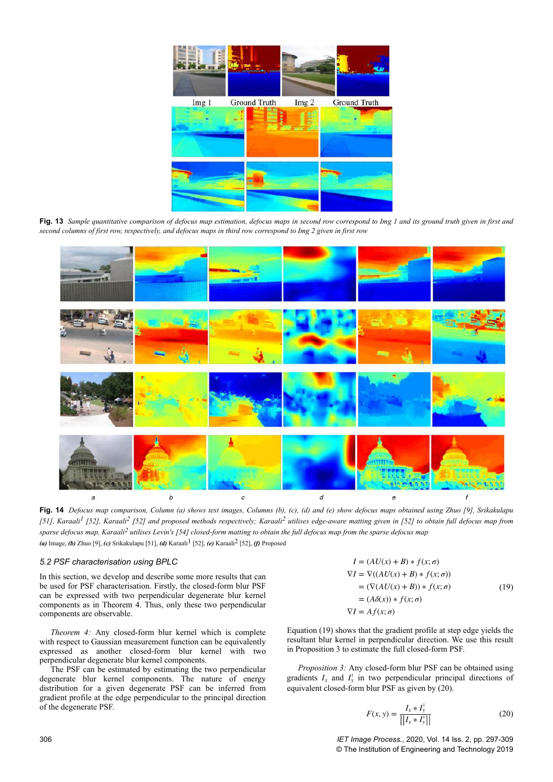

**Fig. 13** Sample quantitative comparison of defocus map estimation, defocus maps in second row correspond to Img 1 and its ground truth given in first and *second columns of first row, respectively, and defocus maps in third row correspond to Img 2 given in first row*

![](_page_9_Figure_2.jpeg)

**Fig. 14** *Defocus map comparison, Column (a) shows test images, Columns (b), (c), (d) and (e) show defocus maps obtained using Zhuo [9], Srikakulapu [51], Karaali1 [52], Karaali2 [52] and proposed methods respectively; Karaali2 utilises edge-aware matting given in [52] to obtain full defocus map from sparse defocus map, Karaali2 utilises Levin's [54] closed-form matting to obtain the full defocus map from the sparse defocus map (a)* Image, *(b)* Zhuo [9], *(c)* Srikakulapu [51], *(d)* Karaali<sup>1</sup> [52], *(e)* Karaali<sup>2</sup> [52], *(f)* Proposed

### *5.2 PSF characterisation using BPLC*

In this section, we develop and describe some more results that can be used for PSF characterisation. Firstly, the closed-form blur PSF can be expressed with two perpendicular degenerate blur kernel components as in Theorem 4. Thus, only these two perpendicular components are observable.

*Theorem 4:* Any closed-form blur kernel which is complete with respect to Gaussian measurement function can be equivalently expressed as another closed-form blur kernel with two perpendicular degenerate blur kernel components.

The PSF can be estimated by estimating the two perpendicular degenerate blur kernel components. The nature of energy distribution for a given degenerate PSF can be inferred from gradient profile at the edge perpendicular to the principal direction of the degenerate PSF.

$$
I = (AU(x) + B) * f(x; \sigma)
$$
  
\n
$$
\nabla I = \nabla((AU(x) + B) * f(x; \sigma))
$$
  
\n
$$
= (\nabla(AU(x) + B)) * f(x; \sigma)
$$
  
\n
$$
= (A\delta(x)) * f(x; \sigma)
$$
  
\n
$$
\nabla I = Af(x; \sigma)
$$
\n(19)

Equation (19) shows that the gradient profile at step edge yields the resultant blur kernel in perpendicular direction. We use this result in Proposition 3 to estimate the full closed-form PSF.

*Proposition 3:* Any closed-form blur PSF can be obtained using gradients  $I_x$  and  $I_y^1$  in two perpendicular principal directions of equivalent closed-form blur PSF as given by (20).

$$
F(x, y) = \frac{I_x * I_y^1}{\left| \left| I_x * I_y^1 \right| \right|} \tag{20}
$$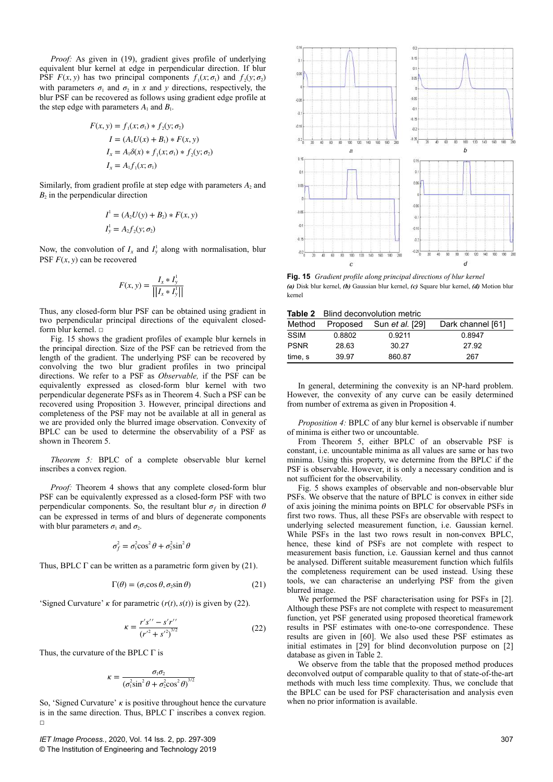*Proof:* As given in (19), gradient gives profile of underlying equivalent blur kernel at edge in perpendicular direction. If blur PSF  $F(x, y)$  has two principal components  $f_1(x; \sigma_1)$  and  $f_2(y; \sigma_2)$ with parameters  $\sigma_1$  and  $\sigma_2$  in *x* and *y* directions, respectively, the blur PSF can be recovered as follows using gradient edge profile at the step edge with parameters  $A_1$  and  $B_1$ .

$$
F(x, y) = f_1(x; \sigma_1) * f_2(y; \sigma_2)
$$
  
\n
$$
I = (A_1 U(x) + B_1) * F(x, y)
$$
  
\n
$$
I_x = A_1 \delta(x) * f_1(x; \sigma_1) * f_2(y; \sigma_2)
$$
  
\n
$$
I_x = A_1 f_1(x; \sigma_1)
$$

Similarly, from gradient profile at step edge with parameters *A*<sub>2</sub> and  $B_2$  in the perpendicular direction

$$
I1 = (A2U(y) + B2) * F(x, y)
$$
  
\n
$$
Iy1 = A2f2(y; \sigma2)
$$

Now, the convolution of  $I_x$  and  $I_y^1$  along with normalisation, blur PSF  $F(x, y)$  can be recovered

$$
F(x, y) = \frac{I_x * I_y^1}{\left\| I_x * I_y^1 \right\|}
$$

Thus, any closed-form blur PSF can be obtained using gradient in two perpendicular principal directions of the equivalent closedform blur kernel. □

Fig. 15 shows the gradient profiles of example blur kernels in the principal direction. Size of the PSF can be retrieved from the length of the gradient. The underlying PSF can be recovered by convolving the two blur gradient profiles in two principal directions. We refer to a PSF as *Observable,* if the PSF can be equivalently expressed as closed-form blur kernel with two perpendicular degenerate PSFs as in Theorem 4. Such a PSF can be recovered using Proposition 3. However, principal directions and completeness of the PSF may not be available at all in general as we are provided only the blurred image observation. Convexity of BPLC can be used to determine the observability of a PSF as shown in Theorem 5.

*Theorem 5:* BPLC of a complete observable blur kernel inscribes a convex region.

*Proof:* Theorem 4 shows that any complete closed-form blur PSF can be equivalently expressed as a closed-form PSF with two perpendicular components. So, the resultant blur  $\sigma_f$  in direction  $\theta$ can be expressed in terms of and blurs of degenerate components with blur parameters  $\sigma_1$  and  $\sigma_2$ .

$$
\sigma_f^2 = \sigma_1^2 \cos^2 \theta + \sigma_2^2 \sin^2 \theta
$$

Thus, BPLC  $\Gamma$  can be written as a parametric form given by (21).

$$
\Gamma(\theta) = (\sigma_1 \cos \theta, \sigma_2 \sin \theta) \tag{21}
$$

'Signed Curvature' *κ* for parametric  $(r(t), s(t))$  is given by (22).

$$
\kappa = \frac{r's'' - s'r''}{(r'^2 + s'^2)^{3/2}}
$$
 (22)

Thus, the curvature of the BPLC  $\Gamma$  is

$$
\kappa = \frac{\sigma_1 \sigma_2}{\left(\sigma_1^2 \sin^2 \theta + \sigma_2^2 \cos^2 \theta\right)^{3/2}}
$$

So, 'Signed Curvature' *κ* is positive throughout hence the curvature is in the same direction. Thus, BPLC Γ inscribes a convex region.  $\Box$ 

*IET Image Process.*, 2020, Vol. 14 Iss. 2, pp. 297-309 © The Institution of Engineering and Technology 2019

![](_page_10_Figure_19.jpeg)

**Fig. 15** *Gradient profile along principal directions of blur kernel (a)* Disk blur kernel, *(b)* Gaussian blur kernel, *(c)* Square blur kernel, *(d)* Motion blur kernel

|--|

| Method      | Proposed | Sun <i>et al.</i> [29] | Dark channel [61] |
|-------------|----------|------------------------|-------------------|
| <b>SSIM</b> | 0.8802   | 0.9211                 | 0.8947            |
| <b>PSNR</b> | 28.63    | 30.27                  | 27.92             |
| time, s     | 39.97    | 860.87                 | 267               |

In general, determining the convexity is an NP-hard problem. However, the convexity of any curve can be easily determined from number of extrema as given in Proposition 4.

*Proposition 4:* BPLC of any blur kernel is observable if number of minima is either two or uncountable.

From Theorem 5, either BPLC of an observable PSF is constant, i.e. uncountable minima as all values are same or has two minima. Using this property, we determine from the BPLC if the PSF is observable. However, it is only a necessary condition and is not sufficient for the observability.

Fig. 5 shows examples of observable and non-observable blur PSFs. We observe that the nature of BPLC is convex in either side of axis joining the minima points on BPLC for observable PSFs in first two rows. Thus, all these PSFs are observable with respect to underlying selected measurement function, i.e. Gaussian kernel. While PSFs in the last two rows result in non-convex BPLC, hence, these kind of PSFs are not complete with respect to measurement basis function, i.e. Gaussian kernel and thus cannot be analysed. Different suitable measurement function which fulfils the completeness requirement can be used instead. Using these tools, we can characterise an underlying PSF from the given blurred image.

We performed the PSF characterisation using for PSFs in [2]. Although these PSFs are not complete with respect to measurement function, yet PSF generated using proposed theoretical framework results in PSF estimates with one-to-one correspondence. These results are given in [60]. We also used these PSF estimates as initial estimates in [29] for blind deconvolution purpose on [2] database as given in Table 2.

We observe from the table that the proposed method produces deconvolved output of comparable quality to that of state-of-the-art methods with much less time complexity. Thus, we conclude that the BPLC can be used for PSF characterisation and analysis even when no prior information is available.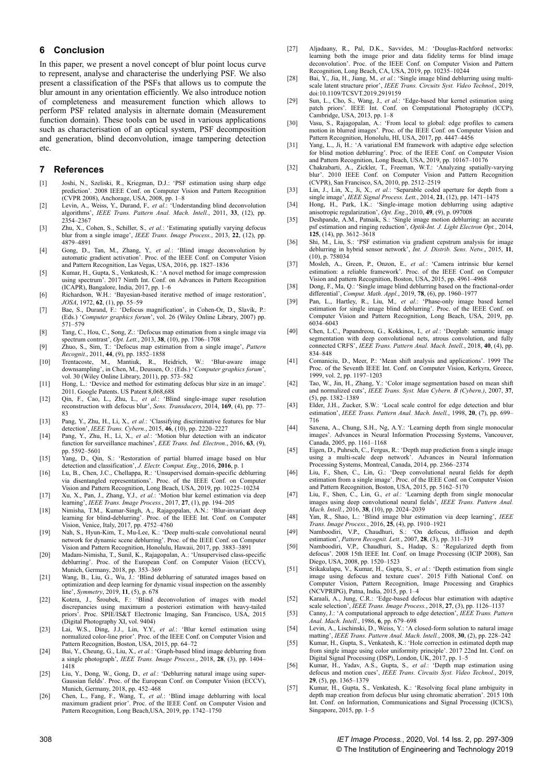## **6 Conclusion**

In this paper, we present a novel concept of blur point locus curve to represent, analyse and characterise the underlying PSF. We also present a classification of the PSFs that allows us to compute the blur amount in any orientation efficiently. We also introduce notion of completeness and measurement function which allows to perform PSF related analysis in alternate domain (Measurement function domain). These tools can be used in various applications such as characterisation of an optical system, PSF decomposition and generation, blind deconvolution, image tampering detection etc.

#### **7 References**

- [1] Joshi, N., Szeliski, R., Kriegman, D.J.: 'PSF estimation using sharp edge prediction'. 2008 IEEE Conf. on Computer Vision and Pattern Recognition (CVPR 2008), Anchorage, USA, 2008, pp. 1–8
- [2] Levin, A., Weiss, Y., Durand, F.*, et al.*: 'Understanding blind deconvolution algorithms', *IEEE Trans. Pattern Anal. Mach. Intell.*, 2011, **33**, (12), pp. 2354–2367
- [3] Zhu, X., Cohen, S., Schiller, S.*, et al.*: 'Estimating spatially varying defocus blur from a single image', *IEEE Trans. Image Process.*, 2013, **22**, (12), pp. 4879–4891
- [4] Gong, D., Tan, M., Zhang, Y.*, et al.*: 'Blind image deconvolution by automatic gradient activation'. Proc. of the IEEE Conf. on Computer Vision and Pattern Recognition, Las Vegas, USA, 2016, pp. 1827–1836
- [5] Kumar, H., Gupta, S., Venkatesh, K.: 'A novel method for image compression using spectrum'. 2017 Ninth Int. Conf. on Advances in Pattern Recognition (ICAPR), Bangalore, India, 2017, pp. 1–6
- [6] Richardson, W.H.: 'Bayesian-based iterative method of image restoration', *JOSA*, 1972, **62**, (1), pp. 55–59
- [7] Bae, S., Durand, F.: 'Defocus magnification', in Cohen-Or, D., Slavík, P.: (Eds.) '*Computer graphics forum*', vol. 26 (Wiley Online Library, 2007) pp. 571–579
- [8] Tang, C., Hou, C., Song, Z.: 'Defocus map estimation from a single image via spectrum contrast', *Opt. Lett.*, 2013, **38**, (10), pp. 1706–1708
- [9] Zhuo, S., Sim, T.: 'Defocus map estimation from a single image', *Pattern Recognit.*, 2011, **44**, (9), pp. 1852–1858
- [10] Trentacoste, M., Mantiuk, R., Heidrich, W.: 'Blur-aware image downsampling', in Chen, M., Deussen, O.: (Eds.) '*Computer graphics forum*', vol. 30 (Wiley Online Library, 2011), pp. 573–582
- [11] Hong, L.: 'Device and method for estimating defocus blur size in an image'. 2011. Google Patents. US Patent 8,068,688
- [12] Qin, F., Cao, L., Zhu, L.*, et al.*: 'Blind single-image super resolution reconstruction with defocus blur', *Sens. Transducers*, 2014, **169**, (4), pp. 77– 83
- [13] Pang, Y., Zhu, H., Li, X.*, et al.*: 'Classifying discriminative features for blur detection', *IEEE Trans. Cybern.*, 2015, **46**, (10), pp. 2220–2227
- [14] Pang, Y., Zhu, H., Li, X.*, et al.*: 'Motion blur detection with an indicator function for surveillance machines', *EEE Trans. Ind. Electron.*, 2016, **63**, (9), pp. 5592–5601
- [15] Yang, D., Qin, S.: 'Restoration of partial blurred image based on blur detection and classification', *J. Electr. Comput. Eng.*, 2016, **2016**, p. 1
- [16] Lu, B., Chen, J.C., Chellappa, R.: 'Unsupervised domain-specific deblurring via disentangled representations'. Proc. of the IEEE Conf. on Computer
- Vision and Pattern Recognition, Long Beach, USA, 2019, pp. 10225–10234<br>
Xu, X., Pan, J., Zhang, Y.J., et al.: 'Motion blur kernel estimation via deep<br>
learning', IEEE Trans. Image Process., 2017, 27, (1), pp. 194–205
- [18] Nimisha, T.M., Kumar-Singh, A., Rajagopalan, A.N.: 'Blur-invariant deep learning for blind-deblurring'. Proc. of the IEEE Int. Conf. on Computer Vision, Venice, Italy, 2017, pp. 4752–4760
- [19] Nah, S., Hyun-Kim, T., Mu-Lee, K.: 'Deep multi-scale convolutional neural network for dynamic scene deblurring'. Proc. of the IEEE Conf. on Computer Vision and Pattern Recognition, Honolulu, Hawaii, 2017, pp. 3883–3891
- [20] Madam-Nimisha, T., Sunil, K., Rajagopalan, A.: 'Unsupervised class-specific deblurring'. Proc. of the European Conf. on Computer Vision (ECCV), Munich, Germany, 2018, pp. 353–369
- [21] Wang, B., Liu, G., Wu, J.: 'Blind deblurring of saturated images based on optimization and deep learning for dynamic visual inspection on the assembly line', *Symmetry*, 2019, **11**, (5), p. 678
- [22] Kotera, J., Šroubek, F.: 'Blind deconvolution of images with model discrepancies using maximum a posteriori estimation with heavy-tailed priors'. Proc. SPIE/IS&T Electronic Imaging, San Francisco, USA, 2015 (Digital Photography XI, vol. 9404)
- [23] Lai, W.S., Ding, J.J., Lin, Y.Y.*, et al.*: 'Blur kernel estimation using normalized color-line prior'. Proc. of the IEEE Conf. on Computer Vision and Pattern Recognition, Boston, USA, 2015, pp. 64–72
- [24] Bai, Y., Cheung, G., Liu, X.*, et al.*: 'Graph-based blind image deblurring from a single photograph', *IEEE Trans. Image Process.*, 2018, **28**, (3), pp. 1404– 1418
- [25] Liu, Y., Dong, W., Gong, D.*, et al.*: 'Deblurring natural image using super-Gaussian fields'. Proc. of the European Conf. on Computer Vision (ECCV), Munich, Germany, 2018, pp. 452–468
- [26] Chen, L., Fang, F., Wang, T.*, et al.*: 'Blind image deblurring with local maximum gradient prior'. Proc. of the IEEE Conf. on Computer Vision and Pattern Recognition, Long Beach,USA, 2019, pp. 1742–1750
- [27] Aljadaany, R., Pal, D.K., Savvides, M.: 'Douglas-Rachford networks: learning both the image prior and data fidelity terms for blind image deconvolution'. Proc. of the IEEE Conf. on Computer Vision and Pattern Recognition, Long Beach, CA, USA, 2019, pp. 10235–10244
- [28] Bai, Y., Jia, H., Jiang, M.*, et al.*: 'Single image blind deblurring using multiscale latent structure prior', *IEEE Trans. Circuits Syst. Video Technol.*, 2019, doi:10.1109/TCSVT.2019.2919159
- [29] Sun, L., Cho, S., Wang, J.*, et al.*: 'Edge-based blur kernel estimation using patch priors'. IEEE Int. Conf. on Computational Photography (ICCP), Cambridge, USA, 2013, pp. 1–8
- [30] Vasu, S., Rajagopalan, A.: 'From local to global: edge profiles to camera motion in blurred images'. Proc. of the IEEE Conf. on Computer Vision and Pattern Recognition, Honolulu, HI, USA, 2017, pp. 4447–4456
- [31] Yang, L., Ji, H.: 'A variational EM framework with adaptive edge selection for blind motion deblurring'. Proc. of the IEEE Conf. on Computer Vision and Pattern Recognition, Long Beach, USA, 2019, pp. 10167–10176
- [32] Chakrabarti, A., Zickler, T., Freeman, W.T.: 'Analyzing spatially-varying blur'. 2010 IEEE Conf. on Computer Vision and Pattern Recognition (CVPR), San Francisco, SA, 2010, pp. 2512–2519
- [33] Lin, J., Lin, X., Ji, X.*, et al.*: 'Separable coded aperture for depth from a single image', *IEEE Signal Process. Lett.*, 2014, **21**, (12), pp. 1471–1475
- [34] Hong, H., Park, I.K.: 'Single-image motion deblurring using adaptive anisotropic regularization', *Opt. Eng.*, 2010, **49**, (9), p. 097008
- [35] Deshpande, A.M., Patnaik, S.: 'Single image motion deblurring: an accurate psf estimation and ringing reduction', *Optik-Int. J. Light Electron Opt.*, 2014, **125**, (14), pp. 3612–3618
- [36] Shi, M., Liu, S.: 'PSF estimation via gradient cepstrum analysis for image deblurring in hybrid sensor network', *Int. J. Distrib. Sens. Netw.*, 2015, **11**, (10), p. 758034
- [37] Mosleh, A., Green, P., Onzon, E.*, et al.*: 'Camera intrinsic blur kernel estimation: a reliable framework'. Proc. of the IEEE Conf. on Computer Vision and pattern Recognition, Boston, USA, 2015, pp. 4961–4968
- [38] Dong, F., Ma, Q.: 'Single image blind deblurring based on the fractional-order differential', *Comput. Math. Appl.*, 2019, **78**, (6), pp. 1960–1977
- [39] Pan, L., Hartley, R., Liu, M.*, et al.*: 'Phase-only image based kernel estimation for single image blind deblurring'. Proc. of the IEEE Conf. on Computer Vision and Pattern Recognition, Long Beach, USA, 2019, pp. 6034–6043
- [40] Chen, L.C., Papandreou, G., Kokkinos, I.*, et al.*: 'Deeplab: semantic image segmentation with deep convolutional nets, atrous convolution, and fully connected CRFS', *IEEE Trans. Pattern Anal. Mach. Intell.*, 2018, **40**, (4), pp. 834–848
- [41] Comaniciu, D., Meer, P.: 'Mean shift analysis and applications'. 1999 The Proc. of the Seventh IEEE Int. Conf. on Computer Vision, Kerkyra, Greece, 1999, vol. 2, pp. 1197–1203
- [42] Tao, W., Jin, H., Zhang, Y.: 'Color image segmentation based on mean shift and normalized cuts', *IEEE Trans. Syst. Man Cybern. B (Cybern.)*, 2007, **37**, (5), pp. 1382–1389
- [43] Elder, J.H., Zucker, S.W.: 'Local scale control for edge detection and blur estimation', *IEEE Trans. Pattern Anal. Mach. Intell.*, 1998, **20**, (7), pp. 699– 716
- [44] Saxena, A., Chung, S.H., Ng, A.Y.: 'Learning depth from single monocular images'. Advances in Neural Information Processing Systems, Vancouver, Canada, 2005, pp. 1161–1168
- [45] Eigen, D., Puhrsch, C., Fergus, R.: 'Depth map prediction from a single image using a multi-scale deep network'. Advances in Neural Information Processing Systems, Montreal, Canada, 2014, pp. 2366–2374
- [46] Liu, F., Shen, C., Lin, G.: 'Deep convolutional neural fields for depth estimation from a single image'. Proc. of the IEEE Conf. on Computer Vision and Pattern Recognition, Boston, USA, 2015, pp. 5162–5170
- [47] Liu, F., Shen, C., Lin, G.*, et al.*: 'Learning depth from single monocular images using deep convolutional neural fields', *IEEE Trans. Pattern Anal. Mach. Intell.*, 2016, **38**, (10), pp. 2024–2039
- [48] Yan, R., Shao, L.: 'Blind image blur estimation via deep learning', *IEEE Trans. Image Process.*, 2016, **25**, (4), pp. 1910–1921
- [49] Namboodiri, V.P., Chaudhuri, S.: 'On defocus, diffusion and depth estimation', *Pattern Recognit. Lett.*, 2007, **28**, (3), pp. 311–319
- [50] Namboodiri, V.P., Chaudhuri, S., Hadap, S.: 'Regularized depth from defocus'. 2008 15th IEEE Int. Conf. on Image Processing (ICIP 2008), San Diego, USA, 2008, pp. 1520–1523
- [51] Srikakulapu, V., Kumar, H., Gupta, S.*, et al.*: 'Depth estimation from single image using defocus and texture cues'. 2015 Fifth National Conf. on Computer Vision, Pattern Recognition, Image Processing and Graphics (NCVPRIPG), Patna, India, 2015, pp. 1–4
- [52] Karaali, A., Jung, C.R.: 'Edge-based defocus blur estimation with adaptive scale selection', *IEEE Trans. Image Process.*, 2018, **27**, (3), pp. 1126–1137
- [53] Canny, J.: 'A computational approach to edge detection', *IEEE Trans. Pattern Anal. Mach. Intell.*, 1986, **6**, pp. 679–698
- [54] Levin, A., Lischinski, D., Weiss, Y.: 'A closed-form solution to natural image matting', *IEEE Trans. Pattern Anal. Mach. Intell.*, 2008, **30**, (2), pp. 228–242
- [55] Kumar, H., Gupta, S., Venkatesh, K.: 'Hole correction in estimated depth map from single image using color uniformity principle'. 2017 22nd Int. Conf. on Digital Signal Processing (DSP), London, UK, 2017, pp. 1–5 [56] Kumar, H., Yadav, A.S., Gupta, S.*, et al.*: 'Depth map estimation using
- defocus and motion cues', *IEEE Trans. Circuits Syst. Video Technol.*, 2019, **29**, (5), pp. 1365–1379
- [57] Kumar, H., Gupta, S., Venkatesh, K.: 'Resolving focal plane ambiguity in depth map creation from defocus blur using chromatic aberration'. 2015 10th Int. Conf. on Information, Communications and Signal Processing (ICICS), Singapore, 2015, pp. 1–5